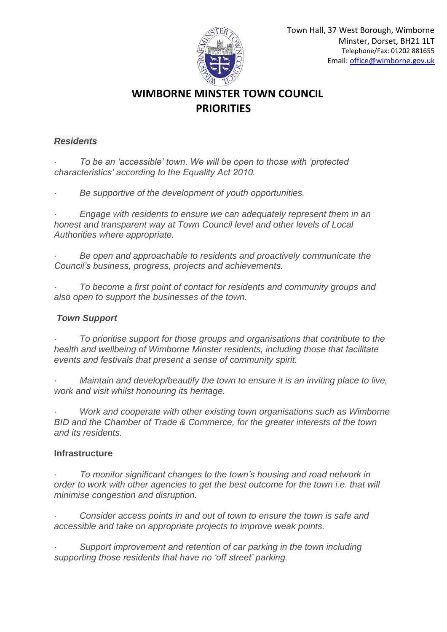

# **WIMBORNE MINSTER TOWN COUNCIL PRIORITIES**

## *Residents*

· *To be an 'accessible' town. We will be open to those with 'protected characteristics' according to the Equality Act 2010.*

· *Be supportive of the development of youth opportunities.*

· *Engage with residents to ensure we can adequately represent them in an honest and transparent way at Town Council level and other levels of Local Authorities where appropriate.*

· *Be open and approachable to residents and proactively communicate the Council's business, progress, projects and achievements.*

· *To become a first point of contact for residents and community groups and also open to support the businesses of the town.*

## *Town Support*

· *To prioritise support for those groups and organisations that contribute to the health and wellbeing of Wimborne Minster residents, including those that facilitate events and festivals that present a sense of community spirit.*

· *Maintain and develop/beautify the town to ensure it is an inviting place to live, work and visit whilst honouring its heritage.*

· *Work and cooperate with other existing town organisations such as Wimborne BID and the Chamber of Trade & Commerce, for the greater interests of the town and its residents.*

## **Infrastructure**

To monitor significant changes to the town's housing and road network in *order to work with other agencies to get the best outcome for the town i.e. that will minimise congestion and disruption.*

Consider access points in and out of town to ensure the town is safe and *accessible and take on appropriate projects to improve weak points.*

Support improvement and retention of car parking in the town including *supporting those residents that have no 'off street' parking.*